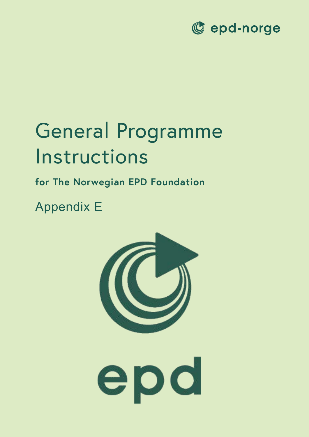

# General Programme Instructions

## **for The Norwegian EPD Foundation**

Appendix E